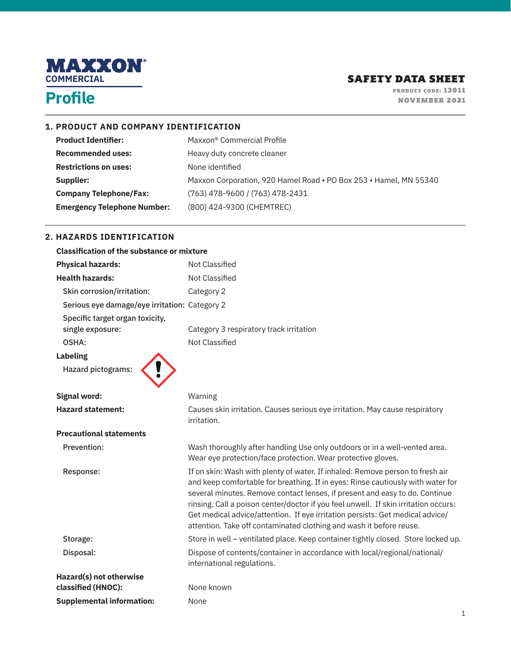

#### **1. PRODUCT AND COMPANY IDENTIFICATION**

| <b>Product Identifier:</b>         | Maxxon <sup>®</sup> Commercial Profile                            |
|------------------------------------|-------------------------------------------------------------------|
| <b>Recommended uses:</b>           | Heavy duty concrete cleaner                                       |
| <b>Restrictions on uses:</b>       | None identified                                                   |
| Supplier:                          | Maxxon Corporation, 920 Hamel Road . PO Box 253 . Hamel, MN 55340 |
| <b>Company Telephone/Fax:</b>      | $(763)$ 478-9600 / (763) 478-2431                                 |
| <b>Emergency Telephone Number:</b> | (800) 424-9300 (CHEMTREC)                                         |

#### **2. HAZARDS IDENTIFICATION**

| <b>Classification of the substance or mixture</b>   |                                                                                                                                                                                                                                                                                                                                                                                                                                                                                                |  |
|-----------------------------------------------------|------------------------------------------------------------------------------------------------------------------------------------------------------------------------------------------------------------------------------------------------------------------------------------------------------------------------------------------------------------------------------------------------------------------------------------------------------------------------------------------------|--|
| <b>Physical hazards:</b>                            | Not Classified                                                                                                                                                                                                                                                                                                                                                                                                                                                                                 |  |
| <b>Health hazards:</b>                              | <b>Not Classified</b>                                                                                                                                                                                                                                                                                                                                                                                                                                                                          |  |
| Skin corrosion/irritation:                          | Category 2                                                                                                                                                                                                                                                                                                                                                                                                                                                                                     |  |
| Serious eye damage/eye irritation: Category 2       |                                                                                                                                                                                                                                                                                                                                                                                                                                                                                                |  |
| Specific target organ toxicity,<br>single exposure: | Category 3 respiratory track irritation                                                                                                                                                                                                                                                                                                                                                                                                                                                        |  |
| OSHA:                                               | Not Classified                                                                                                                                                                                                                                                                                                                                                                                                                                                                                 |  |
| <b>Labeling</b>                                     |                                                                                                                                                                                                                                                                                                                                                                                                                                                                                                |  |
| Hazard pictograms:                                  |                                                                                                                                                                                                                                                                                                                                                                                                                                                                                                |  |
|                                                     |                                                                                                                                                                                                                                                                                                                                                                                                                                                                                                |  |
| <b>Signal word:</b>                                 | Warning                                                                                                                                                                                                                                                                                                                                                                                                                                                                                        |  |
| <b>Hazard statement:</b>                            | Causes skin irritation. Causes serious eye irritation. May cause respiratory<br>irritation.                                                                                                                                                                                                                                                                                                                                                                                                    |  |
| <b>Precautional statements</b>                      |                                                                                                                                                                                                                                                                                                                                                                                                                                                                                                |  |
| Prevention:                                         | Wash thoroughly after handling Use only outdoors or in a well-vented area.<br>Wear eye protection/face protection. Wear protective gloves.                                                                                                                                                                                                                                                                                                                                                     |  |
| Response:                                           | If on skin: Wash with plenty of water. If inhaled: Remove person to fresh air<br>and keep comfortable for breathing. If in eyes: Rinse cautiously with water for<br>several minutes. Remove contact lenses, if present and easy to do. Continue<br>rinsing. Call a poison center/doctor if you feel unwell. If skin irritation occurs:<br>Get medical advice/attention. If eye irritation persists: Get medical advice/<br>attention. Take off contaminated clothing and wash it before reuse. |  |
| Storage:                                            | Store in well - ventilated place. Keep container tightly closed. Store locked up.                                                                                                                                                                                                                                                                                                                                                                                                              |  |
| Disposal:                                           | Dispose of contents/container in accordance with local/regional/national/<br>international regulations.                                                                                                                                                                                                                                                                                                                                                                                        |  |
| Hazard(s) not otherwise<br>classified (HNOC):       | None known                                                                                                                                                                                                                                                                                                                                                                                                                                                                                     |  |
| <b>Supplemental information:</b>                    | None                                                                                                                                                                                                                                                                                                                                                                                                                                                                                           |  |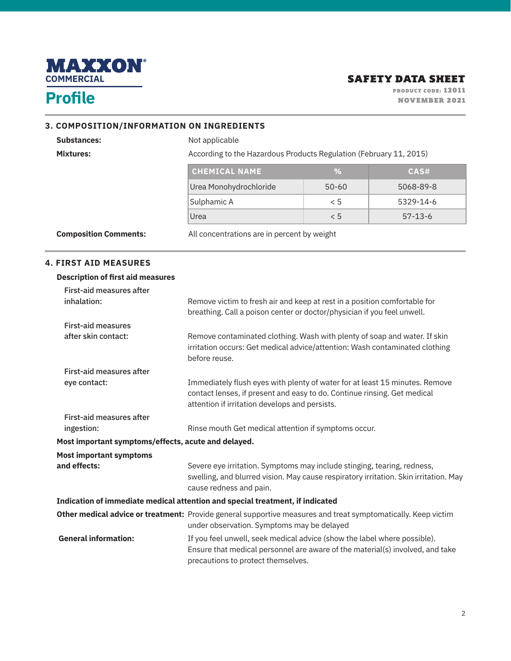

#### **3. COMPOSITION/INFORMATION ON INGREDIENTS**

Substances: Not applicable Mixtures: Mixtures: Mixtures: According to the Hazardous Products Regulation (February 11, 2015)

| <b>CHEMICAL NAME</b>   | ℅         | CAS#          |
|------------------------|-----------|---------------|
| Urea Monohydrochloride | $50 - 60$ | 5068-89-8     |
| Sulphamic A            | < 5       | 5329-14-6     |
| Urea                   | くら        | $57 - 13 - 6$ |

**Composition Comments:** All concentrations are in percent by weight

#### **4. FIRST AID MEASURES**

#### **Description of first aid measures**

| First-aid measures after<br>inhalation:             | Remove victim to fresh air and keep at rest in a position comfortable for<br>breathing. Call a poison center or doctor/physician if you feel unwell.                                                      |
|-----------------------------------------------------|-----------------------------------------------------------------------------------------------------------------------------------------------------------------------------------------------------------|
| <b>First-aid measures</b>                           |                                                                                                                                                                                                           |
| after skin contact:                                 | Remove contaminated clothing. Wash with plenty of soap and water. If skin<br>irritation occurs: Get medical advice/attention: Wash contaminated clothing<br>before reuse.                                 |
| <b>First-aid measures after</b>                     |                                                                                                                                                                                                           |
| eye contact:                                        | Immediately flush eyes with plenty of water for at least 15 minutes. Remove<br>contact lenses, if present and easy to do. Continue rinsing. Get medical<br>attention if irritation develops and persists. |
| <b>First-aid measures after</b>                     |                                                                                                                                                                                                           |
| ingestion:                                          | Rinse mouth Get medical attention if symptoms occur.                                                                                                                                                      |
| Most important symptoms/effects, acute and delayed. |                                                                                                                                                                                                           |
| <b>Most important symptoms</b>                      |                                                                                                                                                                                                           |
| and effects:                                        | Severe eye irritation. Symptoms may include stinging, tearing, redness,<br>swelling, and blurred vision. May cause respiratory irritation. Skin irritation. May<br>cause redness and pain.                |
|                                                     | Indication of immediate medical attention and special treatment, if indicated                                                                                                                             |
|                                                     | Other medical advice or treatment: Provide general supportive measures and treat symptomatically. Keep victim<br>under observation. Symptoms may be delayed                                               |
| <b>General information:</b>                         | If you feel unwell, seek medical advice (show the label where possible).<br>Ensure that medical personnel are aware of the material(s) involved, and take<br>precautions to protect themselves.           |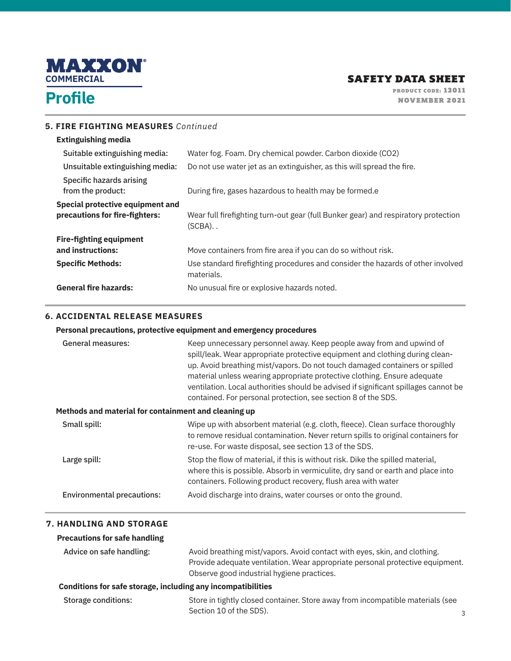

## **Profile**

PRODUCT CODE: 13011 NOVEMBER 2021

#### **5. FIRE FIGHTING MEASURES** *Continued*

### **Extinguishing media**

| Suitable extinguishing media:                                      | Water fog. Foam. Dry chemical powder. Carbon dioxide (CO2)                                      |
|--------------------------------------------------------------------|-------------------------------------------------------------------------------------------------|
| Unsuitable extinguishing media:                                    | Do not use water jet as an extinguisher, as this will spread the fire.                          |
| Specific hazards arising<br>from the product:                      | During fire, gases hazardous to health may be formed.e                                          |
| Special protective equipment and<br>precautions for fire-fighters: | Wear full firefighting turn-out gear (full Bunker gear) and respiratory protection<br>(SCBA). . |
| <b>Fire-fighting equipment</b>                                     |                                                                                                 |
| and instructions:                                                  | Move containers from fire area if you can do so without risk.                                   |
| <b>Specific Methods:</b>                                           | Use standard firefighting procedures and consider the hazards of other involved<br>materials.   |
| <b>General fire hazards:</b>                                       | No unusual fire or explosive hazards noted.                                                     |

#### **6. ACCIDENTAL RELEASE MEASURES**

#### **Personal precautions, protective equipment and emergency procedures**

| <b>General measures:</b>                             | Keep unnecessary personnel away. Keep people away from and upwind of<br>spill/leak. Wear appropriate protective equipment and clothing during clean-<br>up. Avoid breathing mist/vapors. Do not touch damaged containers or spilled<br>material unless wearing appropriate protective clothing. Ensure adequate<br>ventilation. Local authorities should be advised if significant spillages cannot be<br>contained. For personal protection, see section 8 of the SDS. |  |  |
|------------------------------------------------------|-------------------------------------------------------------------------------------------------------------------------------------------------------------------------------------------------------------------------------------------------------------------------------------------------------------------------------------------------------------------------------------------------------------------------------------------------------------------------|--|--|
| Methods and material for containment and cleaning up |                                                                                                                                                                                                                                                                                                                                                                                                                                                                         |  |  |
| Small spill:                                         | Wipe up with absorbent material (e.g. cloth, fleece). Clean surface thoroughly<br>to remove residual contamination. Never return spills to original containers for<br>re-use. For waste disposal, see section 13 of the SDS.                                                                                                                                                                                                                                            |  |  |
| Large spill:                                         | Stop the flow of material, if this is without risk. Dike the spilled material,<br>where this is possible. Absorb in vermiculite, dry sand or earth and place into<br>containers. Following product recovery, flush area with water                                                                                                                                                                                                                                      |  |  |
| <b>Environmental precautions:</b>                    | Avoid discharge into drains, water courses or onto the ground.                                                                                                                                                                                                                                                                                                                                                                                                          |  |  |

### **7. HANDLING AND STORAGE**

### **Precautions for safe handling**

| Advice on safe handling: | Avoid breathing mist/vapors. Avoid contact with eyes, skin, and clothing.     |
|--------------------------|-------------------------------------------------------------------------------|
|                          | Provide adequate ventilation. Wear appropriate personal protective equipment. |
|                          | Observe good industrial hygiene practices.                                    |

#### **Conditions for safe storage, including any incompatibilities**

| Storage conditions: | Store in tightly closed container. Store away from incompatible materials (see |  |
|---------------------|--------------------------------------------------------------------------------|--|
|                     | Section 10 of the SDS).                                                        |  |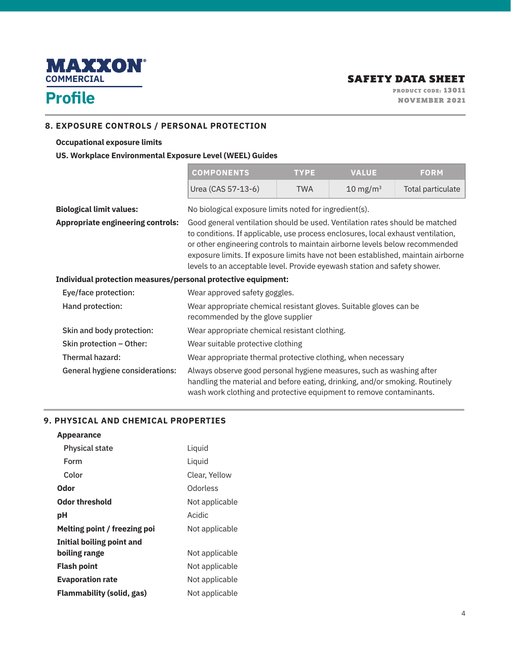

#### **8. EXPOSURE CONTROLS / PERSONAL PROTECTION**

#### **Occupational exposure limits**

#### **US. Workplace Environmental Exposure Level (WEEL) Guides**

| <b>COMPONENTS</b>  | <b>TYPE</b> | <b>VALUE</b>        | <b>FORM</b>       |
|--------------------|-------------|---------------------|-------------------|
| Urea (CAS 57-13-6) | TWA         | $10 \text{ mg/m}^3$ | Total particulate |

wash work clothing and protective equipment to remove contaminants.

| <b>Biological limit values:</b>                               | No biological exposure limits noted for ingredient(s).                                                                                                                                                                                                                                                                                                                                                           |  |  |
|---------------------------------------------------------------|------------------------------------------------------------------------------------------------------------------------------------------------------------------------------------------------------------------------------------------------------------------------------------------------------------------------------------------------------------------------------------------------------------------|--|--|
| <b>Appropriate engineering controls:</b>                      | Good general ventilation should be used. Ventilation rates should be matched<br>to conditions. If applicable, use process enclosures, local exhaust ventilation,<br>or other engineering controls to maintain airborne levels below recommended<br>exposure limits. If exposure limits have not been established, maintain airborne<br>levels to an acceptable level. Provide eyewash station and safety shower. |  |  |
| Individual protection measures/personal protective equipment: |                                                                                                                                                                                                                                                                                                                                                                                                                  |  |  |
| Eye/face protection:                                          | Wear approved safety goggles.                                                                                                                                                                                                                                                                                                                                                                                    |  |  |
| Hand protection:                                              | Wear appropriate chemical resistant gloves. Suitable gloves can be<br>recommended by the glove supplier                                                                                                                                                                                                                                                                                                          |  |  |
| Skin and body protection:                                     | Wear appropriate chemical resistant clothing.                                                                                                                                                                                                                                                                                                                                                                    |  |  |
| Skin protection - Other:                                      | Wear suitable protective clothing                                                                                                                                                                                                                                                                                                                                                                                |  |  |
| Thermal hazard:                                               | Wear appropriate thermal protective clothing, when necessary                                                                                                                                                                                                                                                                                                                                                     |  |  |
| General hygiene considerations:                               | Always observe good personal hygiene measures, such as washing after<br>handling the material and before eating, drinking, and/or smoking. Routinely                                                                                                                                                                                                                                                             |  |  |

#### **9. PHYSICAL AND CHEMICAL PROPERTIES**

#### **Appearance**

| <b>Physical state</b>        | Liquid         |
|------------------------------|----------------|
| Form                         | Liquid         |
| Color                        | Clear, Yellow  |
| Odor                         | Odorless       |
| <b>Odor threshold</b>        | Not applicable |
| рH                           | Acidic         |
|                              |                |
| Melting point / freezing poi | Not applicable |
| Initial boiling point and    |                |
| boiling range                | Not applicable |
| <b>Flash point</b>           | Not applicable |
| <b>Evaporation rate</b>      | Not applicable |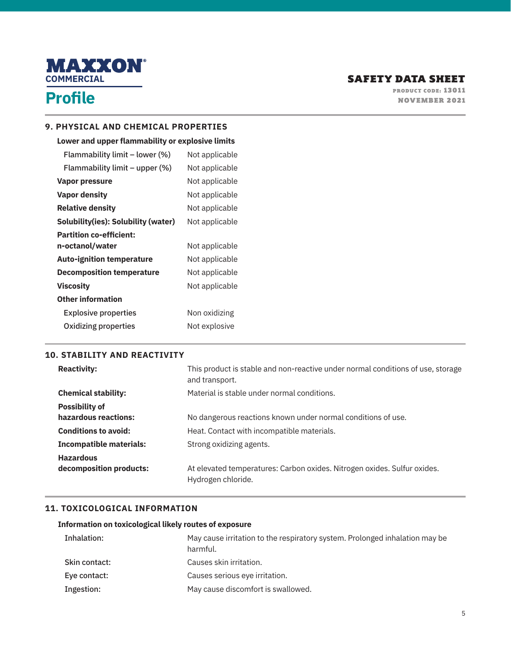

#### **9. PHYSICAL AND CHEMICAL PROPERTIES**

#### **Lower and upper flammability or explosive limits**

| Not applicable |
|----------------|
| Not applicable |
| Not applicable |
| Not applicable |
| Not applicable |
| Not applicable |
|                |
| Not applicable |
| Not applicable |
| Not applicable |
| Not applicable |
|                |
| Non oxidizing  |
| Not explosive  |
|                |

#### **10. STABILITY AND REACTIVITY**

| <b>Reactivity:</b>             | This product is stable and non-reactive under normal conditions of use, storage<br>and transport. |
|--------------------------------|---------------------------------------------------------------------------------------------------|
| <b>Chemical stability:</b>     | Material is stable under normal conditions.                                                       |
| <b>Possibility of</b>          |                                                                                                   |
| hazardous reactions:           | No dangerous reactions known under normal conditions of use.                                      |
| <b>Conditions to avoid:</b>    | Heat. Contact with incompatible materials.                                                        |
| <b>Incompatible materials:</b> | Strong oxidizing agents.                                                                          |
| <b>Hazardous</b>               |                                                                                                   |
| decomposition products:        | At elevated temperatures: Carbon oxides. Nitrogen oxides. Sulfur oxides.<br>Hydrogen chloride.    |

#### **11. TOXICOLOGICAL INFORMATION**

#### **Information on toxicological likely routes of exposure**

| Inhalation:   | May cause irritation to the respiratory system. Prolonged inhalation may be<br>harmful. |
|---------------|-----------------------------------------------------------------------------------------|
| Skin contact: | Causes skin irritation.                                                                 |
| Eye contact:  | Causes serious eye irritation.                                                          |
| Ingestion:    | May cause discomfort is swallowed.                                                      |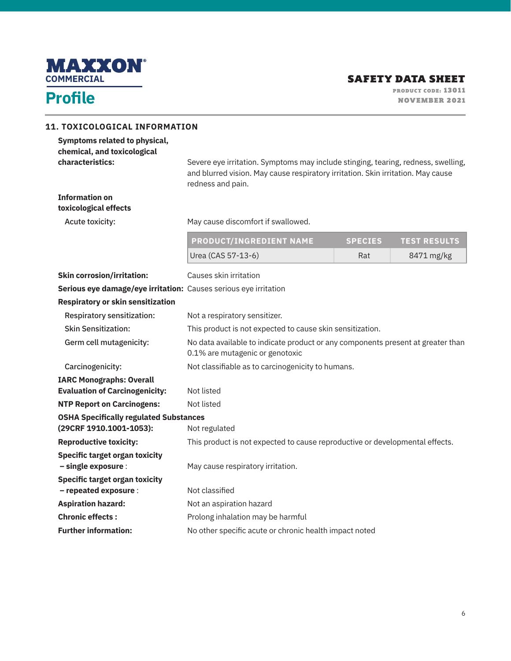

| <b>11. TOXICOLOGICAL INFORMATION</b>                                             |                                                                                                                                                                                            |                |                     |
|----------------------------------------------------------------------------------|--------------------------------------------------------------------------------------------------------------------------------------------------------------------------------------------|----------------|---------------------|
| Symptoms related to physical,<br>chemical, and toxicological<br>characteristics: | Severe eye irritation. Symptoms may include stinging, tearing, redness, swelling,<br>and blurred vision. May cause respiratory irritation. Skin irritation. May cause<br>redness and pain. |                |                     |
| <b>Information on</b><br>toxicological effects                                   |                                                                                                                                                                                            |                |                     |
| Acute toxicity:                                                                  | May cause discomfort if swallowed.                                                                                                                                                         |                |                     |
|                                                                                  | <b>PRODUCT/INGREDIENT NAME</b>                                                                                                                                                             | <b>SPECIES</b> | <b>TEST RESULTS</b> |
|                                                                                  | Urea (CAS 57-13-6)                                                                                                                                                                         | Rat            | 8471 mg/kg          |
| <b>Skin corrosion/irritation:</b>                                                | Causes skin irritation                                                                                                                                                                     |                |                     |
| Serious eye damage/eye irritation: Causes serious eye irritation                 |                                                                                                                                                                                            |                |                     |
| <b>Respiratory or skin sensitization</b>                                         |                                                                                                                                                                                            |                |                     |
| Respiratory sensitization:                                                       | Not a respiratory sensitizer.                                                                                                                                                              |                |                     |
| <b>Skin Sensitization:</b>                                                       | This product is not expected to cause skin sensitization.                                                                                                                                  |                |                     |
| Germ cell mutagenicity:                                                          | No data available to indicate product or any components present at greater than<br>0.1% are mutagenic or genotoxic                                                                         |                |                     |
| Carcinogenicity:                                                                 | Not classifiable as to carcinogenicity to humans.                                                                                                                                          |                |                     |
| <b>IARC Monographs: Overall</b><br><b>Evaluation of Carcinogenicity:</b>         | Not listed                                                                                                                                                                                 |                |                     |
| <b>NTP Report on Carcinogens:</b>                                                | Not listed                                                                                                                                                                                 |                |                     |
| <b>OSHA Specifically regulated Substances</b>                                    |                                                                                                                                                                                            |                |                     |
| (29CRF 1910.1001-1053):                                                          | Not regulated                                                                                                                                                                              |                |                     |
| <b>Reproductive toxicity:</b>                                                    | This product is not expected to cause reproductive or developmental effects.                                                                                                               |                |                     |
| <b>Specific target organ toxicity</b><br>- single exposure :                     | May cause respiratory irritation.                                                                                                                                                          |                |                     |
| <b>Specific target organ toxicity</b>                                            |                                                                                                                                                                                            |                |                     |
| - repeated exposure :                                                            | Not classified                                                                                                                                                                             |                |                     |
| <b>Aspiration hazard:</b>                                                        | Not an aspiration hazard                                                                                                                                                                   |                |                     |
| <b>Chronic effects:</b>                                                          | Prolong inhalation may be harmful                                                                                                                                                          |                |                     |
| <b>Further information:</b>                                                      | No other specific acute or chronic health impact noted                                                                                                                                     |                |                     |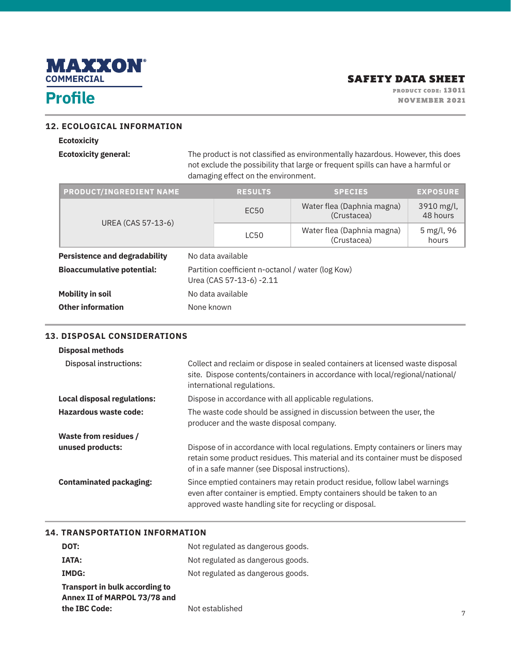

## **Profile**

PRODUCT CODE: 13011 NOVEMBER 2021

#### **12. ECOLOGICAL INFORMATION**

#### **Ecotoxicity**

**Ecotoxicity general:** The product is not classified as environmentally hazardous. However, this does not exclude the possibility that large or frequent spills can have a harmful or damaging effect on the environment.

| <b>PRODUCT/INGREDIENT NAME</b>       | <b>RESULTS</b>                                                                | <b>SPECIES</b>                            | <b>EXPOSURE</b>        |
|--------------------------------------|-------------------------------------------------------------------------------|-------------------------------------------|------------------------|
|                                      | EC50                                                                          | Water flea (Daphnia magna)<br>(Crustacea) | 3910 mg/l,<br>48 hours |
| UREA (CAS 57-13-6)                   | <b>LC50</b>                                                                   | Water flea (Daphnia magna)<br>(Crustacea) | 5 mg/l, 96<br>hours    |
| <b>Persistence and degradability</b> | No data available                                                             |                                           |                        |
| <b>Bioaccumulative potential:</b>    | Partition coefficient n-octanol / water (log Kow)<br>Urea (CAS 57-13-6) -2.11 |                                           |                        |
| <b>Mobility in soil</b>              | No data available                                                             |                                           |                        |
| <b>Other information</b>             | None known                                                                    |                                           |                        |

#### **13. DISPOSAL CONSIDERATIONS**

#### **Disposal methods**

| Disposal instructions:             | Collect and reclaim or dispose in sealed containers at licensed waste disposal<br>site. Dispose contents/containers in accordance with local/regional/national/<br>international regulations.                         |
|------------------------------------|-----------------------------------------------------------------------------------------------------------------------------------------------------------------------------------------------------------------------|
| <b>Local disposal regulations:</b> | Dispose in accordance with all applicable regulations.                                                                                                                                                                |
| Hazardous waste code:              | The waste code should be assigned in discussion between the user, the<br>producer and the waste disposal company.                                                                                                     |
| <b>Waste from residues /</b>       |                                                                                                                                                                                                                       |
| unused products:                   | Dispose of in accordance with local regulations. Empty containers or liners may<br>retain some product residues. This material and its container must be disposed<br>of in a safe manner (see Disposal instructions). |
| <b>Contaminated packaging:</b>     | Since emptied containers may retain product residue, follow label warnings<br>even after container is emptied. Empty containers should be taken to an<br>approved waste handling site for recycling or disposal.      |

### **14. TRANSPORTATION INFORMATION**

| DOT:                           | Not regulated as dangerous goods. |
|--------------------------------|-----------------------------------|
| <b>IATA:</b>                   | Not regulated as dangerous goods. |
| <b>IMDG:</b>                   | Not regulated as dangerous goods. |
| Transport in bulk according to |                                   |
| Annex II of MARPOL 73/78 and   |                                   |
| the IBC Code:                  | Not established                   |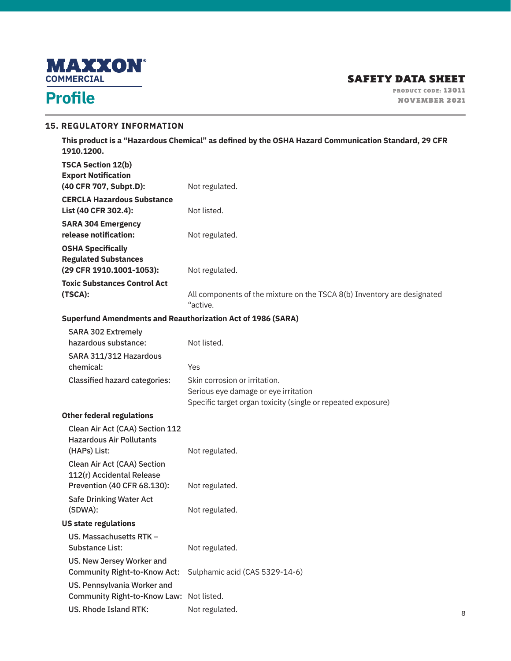

# **Profile**

#### **15. REGULATORY INFORMATION**

**This product is a "Hazardous Chemical" as defined by the OSHA Hazard Communication Standard, 29 CFR 1910.1200.** 

| <b>TSCA Section 12(b)</b><br><b>Export Notification</b>                                        |                                                                                                                                       |
|------------------------------------------------------------------------------------------------|---------------------------------------------------------------------------------------------------------------------------------------|
| (40 CFR 707, Subpt.D):                                                                         | Not regulated.                                                                                                                        |
| <b>CERCLA Hazardous Substance</b><br>List (40 CFR 302.4):                                      | Not listed.                                                                                                                           |
| <b>SARA 304 Emergency</b><br>release notification:                                             | Not regulated.                                                                                                                        |
| <b>OSHA Specifically</b><br><b>Regulated Substances</b><br>(29 CFR 1910.1001-1053):            | Not regulated.                                                                                                                        |
| <b>Toxic Substances Control Act</b><br>(TSCA):                                                 | All components of the mixture on the TSCA 8(b) Inventory are designated<br>"active.                                                   |
| <b>Superfund Amendments and Reauthorization Act of 1986 (SARA)</b>                             |                                                                                                                                       |
| <b>SARA 302 Extremely</b><br>hazardous substance:                                              | Not listed.                                                                                                                           |
| SARA 311/312 Hazardous<br>chemical:                                                            | Yes                                                                                                                                   |
| <b>Classified hazard categories:</b>                                                           | Skin corrosion or irritation.<br>Serious eye damage or eye irritation<br>Specific target organ toxicity (single or repeated exposure) |
| <b>Other federal regulations</b>                                                               |                                                                                                                                       |
| Clean Air Act (CAA) Section 112<br><b>Hazardous Air Pollutants</b><br>(HAPs) List:             | Not regulated.                                                                                                                        |
| <b>Clean Air Act (CAA) Section</b><br>112(r) Accidental Release<br>Prevention (40 CFR 68.130): | Not regulated.                                                                                                                        |
| <b>Safe Drinking Water Act</b><br>(SDWA):                                                      | Not regulated.                                                                                                                        |
| <b>US state regulations</b>                                                                    |                                                                                                                                       |
| US. Massachusetts RTK -<br><b>Substance List:</b>                                              | Not regulated.                                                                                                                        |
| US. New Jersey Worker and<br><b>Community Right-to-Know Act:</b>                               | Sulphamic acid (CAS 5329-14-6)                                                                                                        |
| US. Pennsylvania Worker and<br><b>Community Right-to-Know Law:</b>                             | Not listed.                                                                                                                           |
| <b>US. Rhode Island RTK:</b>                                                                   | Not regulated.                                                                                                                        |